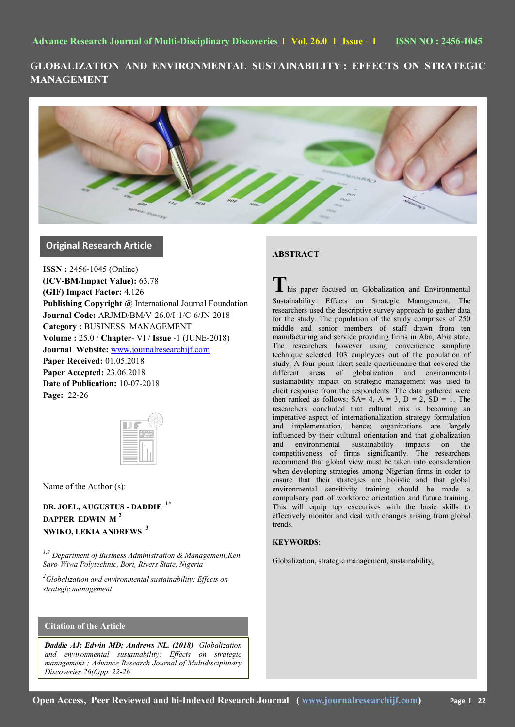# **GLOBALIZATION AND ENVIRONMENTAL SUSTAINABILITY : EFFECTS ON STRATEGIC MANAGEMENT**



# **Original Research Article**

**ISSN :** 2456-1045 (Online) **(ICV-BM/Impact Value):** 63.78 **(GIF) Impact Factor:** 4.126 **Publishing Copyright @** International Journal Foundation **Journal Code:** ARJMD/BM/V-26.0/I-1/C-6/JN-2018 **Category :** BUSINESS MANAGEMENT **Volume :** 25.0 / **Chapter**- VI / **Issue** -1 (JUNE-2018) **Journal Website:** [www.journalresearchijf.com](http://www.journalresearchijf.com/) **Paper Received:** 01.05.2018 **Paper Accepted:** 23.06.2018 **Date of Publication:** 10-07-2018 **Page:** 22-26

| international<br>Iournal<br>Ioundation |
|----------------------------------------|
|                                        |
|                                        |
|                                        |
|                                        |
|                                        |
|                                        |
|                                        |
|                                        |

Name of the Author (s):

**DR. JOEL, AUGUSTUS - DADDIE 1\* DAPPER EDWIN M <sup>2</sup> NWIKO, LEKIA ANDREWS <sup>3</sup>**

*1,3 Department of Business Administration & Management,Ken Saro-Wiwa Polytechnic, Bori, Rivers State, Nigeria*

*<sup>2</sup>Globalization and environmental sustainability: Effects on strategic management*

# **Citation of the Article**

*Daddie AJ; Edwin MD; Andrews NL. (2018) Globalization and environmental sustainability: Effects on strategic management ; Advance Research Journal of Multidisciplinary Discoveries.26(6)pp. 22-26*

# **ABSTRACT**

**T**his paper focused on Globalization and Environmental Sustainability: Effects on Strategic Management. The researchers used the descriptive survey approach to gather data for the study. The population of the study comprises of 250 middle and senior members of staff drawn from ten manufacturing and service providing firms in Aba, Abia state. The researchers however using convenience sampling technique selected 103 employees out of the population of study. A four point likert scale questionnaire that covered the different areas of globalization and environmental sustainability impact on strategic management was used to elicit response from the respondents. The data gathered were then ranked as follows:  $SA = 4$ ,  $A = 3$ ,  $D = 2$ ,  $SD = 1$ . The researchers concluded that cultural mix is becoming an imperative aspect of internationalization strategy formulation and implementation, hence; organizations are largely influenced by their cultural orientation and that globalization and environmental sustainability impacts on the competitiveness of firms significantly. The researchers recommend that global view must be taken into consideration when developing strategies among Nigerian firms in order to ensure that their strategies are holistic and that global environmental sensitivity training should be made a compulsory part of workforce orientation and future training. This will equip top executives with the basic skills to effectively monitor and deal with changes arising from global trends.

# **KEYWORDS**:

Globalization, strategic management, sustainability,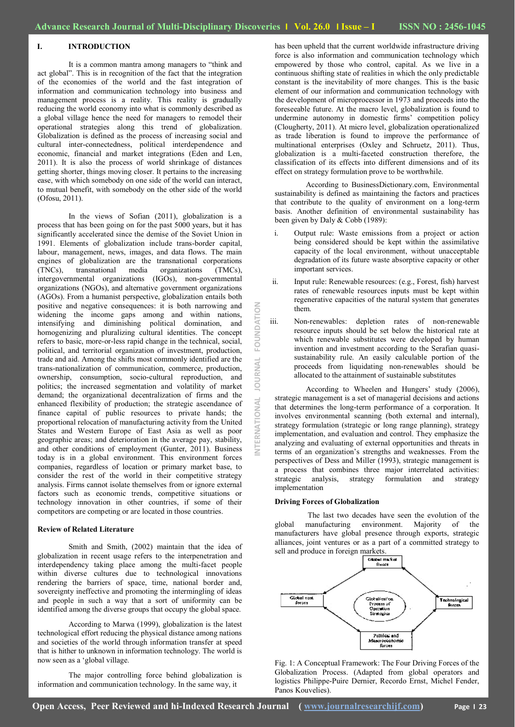## **I. INTRODUCTION**

It is a common mantra among managers to "think and act global". This is in recognition of the fact that the integration of the economies of the world and the fast integration of information and communication technology into business and management process is a reality. This reality is gradually reducing the world economy into what is commonly described as a global village hence the need for managers to remodel their operational strategies along this trend of globalization. Globalization is defined as the process of increasing social and cultural inter-connectedness, political interdependence and economic, financial and market integrations (Eden and Len, 2011). It is also the process of world shrinkage of distances getting shorter, things moving closer. It pertains to the increasing ease, with which somebody on one side of the world can interact, to mutual benefit, with somebody on the other side of the world (Ofosu, 2011).

In the views of Sofian (2011), globalization is a process that has been going on for the past 5000 years, but it has significantly accelerated since the demise of the Soviet Union in 1991. Elements of globalization include trans-border capital, labour, management, news, images, and data flows. The main engines of globalization are the transnational corporations (TNCs), transnational media organizations (TMCs), intergovernmental organizations (IGOs), non-governmental organizations (NGOs), and alternative government organizations (AGOs). From a humanist perspective, globalization entails both positive and negative consequences: it is both narrowing and widening the income gaps among and within nations, intensifying and diminishing political domination, and homogenizing and pluralizing cultural identities. The concept refers to basic, more-or-less rapid change in the technical, social, political, and territorial organization of investment, production, trade and aid. Among the shifts most commonly identified are the trans-nationalization of communication, commerce, production, ownership, consumption, socio-cultural reproduction, and politics; the increased segmentation and volatility of market demand; the organizational decentralization of firms and the enhanced flexibility of production; the strategic ascendance of finance capital of public resources to private hands; the proportional relocation of manufacturing activity from the United States and Western Europe of East Asia as well as poor geographic areas; and deterioration in the average pay, stability, and other conditions of employment (Gunter, 2011). Business today is in a global environment. This environment forces companies, regardless of location or primary market base, to consider the rest of the world in their competitive strategy analysis. Firms cannot isolate themselves from or ignore external factors such as economic trends, competitive situations or technology innovation in other countries, if some of their competitors are competing or are located in those countries.

### **Review of Related Literature**

Smith and Smith, (2002) maintain that the idea of globalization in recent usage refers to the interpenetration and interdependency taking place among the multi-facet people within diverse cultures due to technological innovations rendering the barriers of space, time, national border and, sovereignty ineffective and promoting the intermingling of ideas and people in such a way that a sort of uniformity can be identified among the diverse groups that occupy the global space.

According to Marwa (1999), globalization is the latest technological effort reducing the physical distance among nations and societies of the world through information transfer at speed that is hither to unknown in information technology. The world is now seen as a "global village.

The major controlling force behind globalization is information and communication technology. In the same way, it

has been upheld that the current worldwide infrastructure driving force is also information and communication technology which empowered by those who control, capital. As we live in a continuous shifting state of realities in which the only predictable constant is the inevitability of more changes. This is the basic element of our information and communication technology with the development of microprocessor in 1973 and proceeds into the foreseeable future. At the macro level, globalization is found to undermine autonomy in domestic firms' competition policy (Clougherty, 2011). At micro level, globalization operationalized as trade liberation is found to improve the performance of multinational enterprises (Oxley and Schruetz, 2011). Thus, globalization is a multi-faceted construction therefore, the classification of its effects into different dimensions and of its effect on strategy formulation prove to be worthwhile.

According to BusinessDictionary.com, Environmental sustainability is defined as maintaining the factors and practices that contribute to the quality of environment on a long-term basis. Another definition of environmental sustainability has been given by Daly & Cobb (1989):

- i. Output rule: Waste emissions from a project or action being considered should be kept within the assimilative capacity of the local environment, without unacceptable degradation of its future waste absorptive capacity or other important services.
- ii. Input rule: Renewable resources: (e.g., Forest, fish) harvest rates of renewable resources inputs must be kept within regenerative capacities of the natural system that generates them.
- iii. Non-renewables: depletion rates of non-renewable resource inputs should be set below the historical rate at which renewable substitutes were developed by human invention and investment according to the Serafian quasisustainability rule. An easily calculable portion of the proceeds from liquidating non-renewables should be allocated to the attainment of sustainable substitutes

According to Wheelen and Hungers' study (2006), strategic management is a set of managerial decisions and actions that determines the long-term performance of a corporation. It involves environmental scanning (both external and internal), strategy formulation (strategic or long range planning), strategy implementation, and evaluation and control. They emphasize the analyzing and evaluating of external opportunities and threats in terms of an organization"s strengths and weaknesses. From the perspectives of Dess and Miller (1993), strategic management is a process that combines three major interrelated activities: strategic analysis, strategy implementation

#### **Driving Forces of Globalization**

**INTERNATIONAL JOURNAL FOUNDATION**

RNAL

jou

**ONAL** 

FOUNDATION

The last two decades have seen the evolution of the global manufacturing environment. Majority of the manufacturers have global presence through exports, strategic alliances, joint ventures or as a part of a committed strategy to sell and produce in foreign markets.



Fig. 1: A Conceptual Framework: The Four Driving Forces of the Globalization Process. (Adapted from global operators and logistics Philippe-Puire Dernier, Recordo Ernst, Michel Fender, Panos Kouvelies).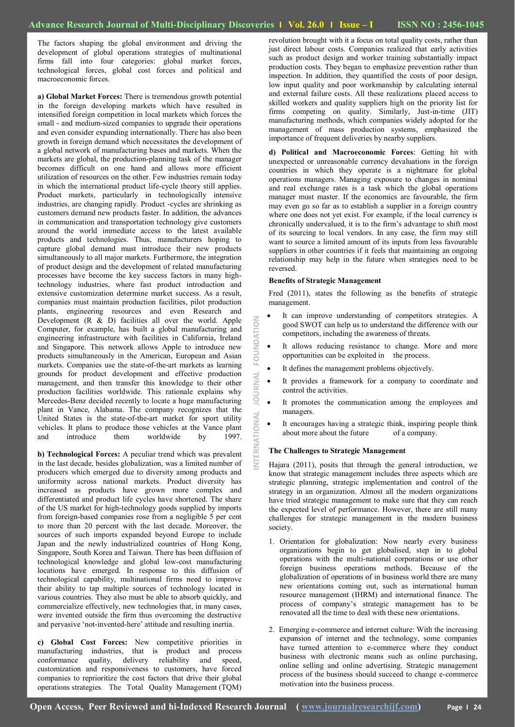The factors shaping the global environment and driving the development of global operations strategies of multinational firms fall into four categories: global market forces, technological forces, global cost forces and political and macroeconomic forces.

**a) Global Market Forces:** There is tremendous growth potential in the foreign developing markets which have resulted in intensified foreign competition in local markets which forces the small - and medium-sized companies to upgrade their operations and even consider expanding internationally. There has also been growth in foreign demand which necessitates the development of a global network of manufacturing bases and markets. When the markets are global, the production-planning task of the manager becomes difficult on one hand and allows more efficient utilization of resources on the other. Few industries remain today in which the international product life-cycle theory still applies. Product markets, particularly in technologically intensive industries, are changing rapidly. Product -cycles are shrinking as customers demand new products faster. In addition, the advances in communication and transportation technology give customers around the world immediate access to the latest available products and technologies. Thus, manufacturers hoping to capture global demand must introduce their new products simultaneously to all major markets. Furthermore, the integration of product design and the development of related manufacturing processes have become the key success factors in many hightechnology industries, where fast product introduction and extensive customization determine market success. As a result, companies must maintain production facilities, pilot production plants, engineering resources and even Research and Development (R & D) facilities all over the world. Apple Computer, for example, has built a global manufacturing and engineering infrastructure with facilities in California, Ireland and Singapore. This network allows Apple to introduce new products simultaneously in the American, European and Asian markets. Companies use the state-of-the-art markets as learning grounds for product development and effective production management, and then transfer this knowledge to their other production facilities worldwide. This rationale explains why Mercedes-Benz decided recently to locate a huge manufacturing plant in Vance, Alabama. The company recognizes that the United States is the state-of-the-art market for sport utility vehicles. It plans to produce those vehicles at the Vance plant and introduce them worldwide by 1997.

**b) Technological Forces:** A peculiar trend which was prevalent in the last decade, besides globalization, was a limited number of producers which emerged due to diversity among products and uniformity across national markets. Product diversity has increased as products have grown more complex and differentiated and product life cycles have shortened. The share of the US market for high-technology goods supplied by imports from foreign-based companies rose from a negligible 5 per cent to more than 20 percent with the last decade. Moreover, the sources of such imports expanded beyond Europe to include Japan and the newly industrialized countries of Hong Kong, Singapore, South Korea and Taiwan. There has been diffusion of technological knowledge and global low-cost manufacturing locations have emerged. In response to this diffusion of technological capability, multinational firms need to improve their ability to tap multiple sources of technology located in various countries. They also must be able to absorb quickly, and commercialize effectively, new technologies that, in many cases, were invented outside the firm thus overcoming the destructive and pervasive "not-invented-here" attitude and resulting inertia.

**c) Global Cost Forces:** New competitive priorities in manufacturing industries, that is product and process conformance quality, delivery reliability and speed, customization and responsiveness to customers, have forced companies to reprioritize the cost factors that drive their global operations strategies. The Total Quality Management (TQM) revolution brought with it a focus on total quality costs, rather than just direct labour costs. Companies realized that early activities such as product design and worker training substantially impact production costs. They began to emphasize prevention rather than inspection. In addition, they quantified the costs of poor design, low input quality and poor workmanship by calculating internal and external failure costs. All these realizations placed access to skilled workers and quality suppliers high on the priority list for firms competing on quality. Similarly, Just-in-time (JIT) manufacturing methods, which companies widely adopted for the management of mass production systems, emphasized the importance of frequent deliveries by nearby suppliers.

**d) Political and Macroeconomic Forces**: Getting hit with unexpected or unreasonable currency devaluations in the foreign countries in which they operate is a nightmare for global operations managers. Managing exposure to changes in nominal and real exchange rates is a task which the global operations manager must master. If the economics are favourable, the firm may even go so far as to establish a supplier in a foreign country where one does not yet exist. For example, if the local currency is chronically undervalued, it is to the firm"s advantage to shift most of its sourcing to local vendors. In any case, the firm may still want to source a limited amount of its inputs from less favourable suppliers in other countries if it feels that maintaining an ongoing relationship may help in the future when strategies need to be reversed.

#### **Benefits of Strategic Management**

Fred (2011), states the following as the benefits of strategic management.

- It can improve understanding of competitors strategies. A good SWOT can help us to understand the difference with our competitors, including the awareness of threats.
- It allows reducing resistance to change. More and more opportunities can be exploited in the process.
- It defines the management problems objectively.
- It provides a framework for a company to coordinate and control the activities.
- It promotes the communication among the employees and managers.
- It encourages having a strategic think, inspiring people think about more about the future of a company.

### **The Challenges to Strategic Management**

Hajara (2011), posits that through the general introduction, we know that strategic management includes three aspects which are strategic planning, strategic implementation and control of the strategy in an organization. Almost all the modern organizations have tried strategic management to make sure that they can reach the expected level of performance. However, there are still many challenges for strategic management in the modern business society.

- 1. Orientation for globalization: Now nearly every business organizations begin to get globalised, step in to global operations with the multi-national corporations or use other foreign business operations methods. Because of the globalization of operations of in business world there are many new orientations coming out, such as international human resource management (IHRM) and international finance. The process of company"s strategic management has to be renovated all the time to deal with these new orientations.
- 2. Emerging e-commerce and internet culture: With the increasing expansion of internet and the technology, some companies have turned attention to e-commerce where they conduct business with electronic means such as online purchasing, online selling and online advertising. Strategic management process of the business should succeed to change e-commerce motivation into the business process.

**INTERNATIONAL JOURNAL FOUNDATION**

ATIONAL

**INN** JOURI

FOUNDATION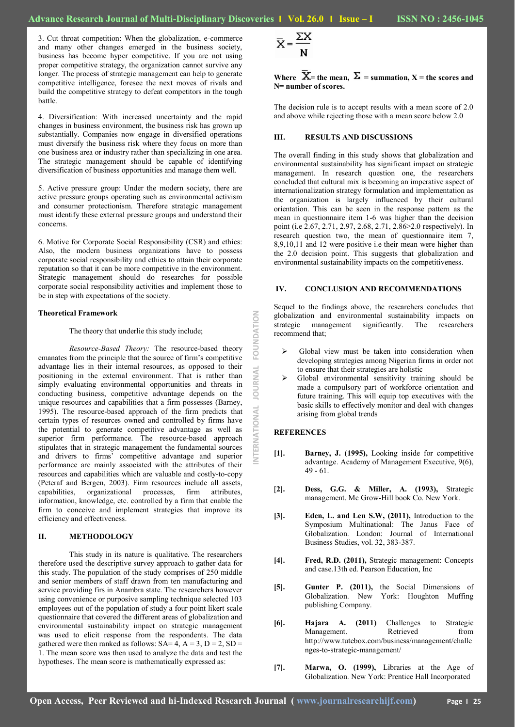3. Cut throat competition: When the globalization, e-commerce and many other changes emerged in the business society, business has become hyper competitive. If you are not using proper competitive strategy, the organization cannot survive any longer. The process of strategic management can help to generate competitive intelligence, foresee the next moves of rivals and build the competitive strategy to defeat competitors in the tough battle.

4. Diversification: With increased uncertainty and the rapid changes in business environment, the business risk has grown up substantially. Companies now engage in diversified operations must diversify the business risk where they focus on more than one business area or industry rather than specializing in one area. The strategic management should be capable of identifying diversification of business opportunities and manage them well.

5. Active pressure group: Under the modern society, there are active pressure groups operating such as environmental activism and consumer protectionism. Therefore strategic management must identify these external pressure groups and understand their concerns.

6. Motive for Corporate Social Responsibility (CSR) and ethics: Also, the modern business organizations have to possess corporate social responsibility and ethics to attain their corporate reputation so that it can be more competitive in the environment. Strategic management should do researches for possible corporate social responsibility activities and implement those to be in step with expectations of the society.

#### **Theoretical Framework**

The theory that underlie this study include;

*Resource-Based Theory:* The resource-based theory emanates from the principle that the source of firm"s competitive advantage lies in their internal resources, as opposed to their positioning in the external environment. That is rather than simply evaluating environmental opportunities and threats in conducting business, competitive advantage depends on the unique resources and capabilities that a firm possesses (Barney, 1995). The resource-based approach of the firm predicts that certain types of resources owned and controlled by firms have the potential to generate competitive advantage as well as superior firm performance. The resource-based approach stipulates that in strategic management the fundamental sources and drivers to firms" competitive advantage and superior performance are mainly associated with the attributes of their resources and capabilities which are valuable and costly-to-copy (Peteraf and Bergen, 2003). Firm resources include all assets, capabilities, organizational processes, firm attributes, information, knowledge, etc. controlled by a firm that enable the firm to conceive and implement strategies that improve its efficiency and effectiveness.

#### **II. METHODOLOGY**

This study in its nature is qualitative. The researchers therefore used the descriptive survey approach to gather data for this study. The population of the study comprises of 250 middle and senior members of staff drawn from ten manufacturing and service providing firs in Anambra state. The researchers however using convenience or purposive sampling technique selected 103 employees out of the population of study a four point likert scale questionnaire that covered the different areas of globalization and environmental sustainability impact on strategic management was used to elicit response from the respondents. The data gathered were then ranked as follows:  $SA = 4$ ,  $A = 3$ ,  $D = 2$ ,  $SD =$ 1. The mean score was then used to analyze the data and test the hypotheses. The mean score is mathematically expressed as:



### Where  $X =$  the mean,  $\Sigma =$  summation,  $X =$  the scores and **N= number of scores.**

The decision rule is to accept results with a mean score of 2.0 and above while rejecting those with a mean score below 2.0

#### **III. RESULTS AND DISCUSSIONS**

The overall finding in this study shows that globalization and environmental sustainability has significant impact on strategic management. In research question one, the researchers concluded that cultural mix is becoming an imperative aspect of internationalization strategy formulation and implementation as the organization is largely influenced by their cultural orientation. This can be seen in the response pattern as the mean in questionnaire item 1-6 was higher than the decision point (i.e 2.67, 2.71, 2.97, 2.68, 2.71, 2.86>2.0 respectively). In research question two, the mean of questionnaire item 7, 8,9,10,11 and 12 were positive i.e their mean were higher than the 2.0 decision point. This suggests that globalization and environmental sustainability impacts on the competitiveness.

### **IV. CONCLUSION AND RECOMMENDATIONS**

Sequel to the findings above, the researchers concludes that globalization and environmental sustainability impacts on strategic management significantly. The researchers recommend that;

- Global view must be taken into consideration when developing strategies among Nigerian firms in order not to ensure that their strategies are holistic
- $\triangleright$  Global environmental sensitivity training should be made a compulsory part of workforce orientation and future training. This will equip top executives with the basic skills to effectively monitor and deal with changes arising from global trends

#### **REFERENCES**

**INTERNATIONAL JOURNAL FOUNDATION**

**JOURNAL** 

ERNATIONAL

FOUNDATION

- **[1]. Barney, J. (1995),** Looking inside for competitive advantage. Academy of Management Executive, 9(6),  $49 - 61$ .
- [**2]. Dess, G.G. & Miller, A. (1993),** Strategic management. Mc Grow-Hill book Co. New York.
- **[3]. Eden, L. and Len S.W, (2011),** Introduction to the Symposium Multinational: The Janus Face of Globalization. London: Journal of International Business Studies, vol. 32, 383-387.
- **[4]. Fred, R.D. (2011),** Strategic management: Concepts and case.13th ed. Pearson Education, Inc
- **[5]. Gunter P. (2011),** the Social Dimensions of Globalization. New York: Houghton Muffing publishing Company.
- **[6]. Hajara A. (2011)** Challenges to Strategic Management. Retrieved from http://www.tutebox.com/business/management/challe nges-to-strategic-management/
- **[7]. Marwa, O. (1999),** Libraries at the Age of Globalization. New York: Prentice Hall Incorporated